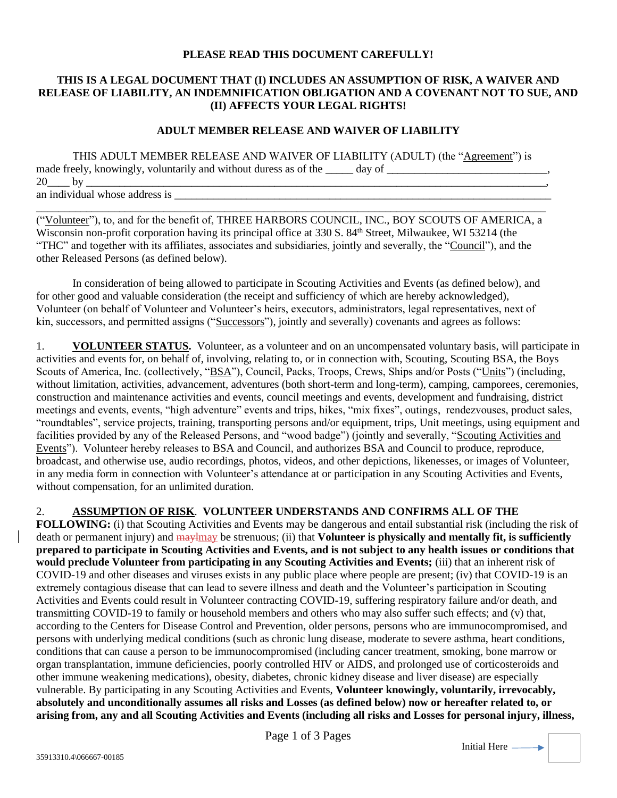## **PLEASE READ THIS DOCUMENT CAREFULLY!**

## **THIS IS A LEGAL DOCUMENT THAT (I) INCLUDES AN ASSUMPTION OF RISK, A WAIVER AND RELEASE OF LIABILITY, AN INDEMNIFICATION OBLIGATION AND A COVENANT NOT TO SUE, AND (II) AFFECTS YOUR LEGAL RIGHTS!**

## **ADULT MEMBER RELEASE AND WAIVER OF LIABILITY**

| THIS ADULT MEMBER RELEASE AND WAIVER OF LIABILITY (ADULT) (the "Agreement") is |  |
|--------------------------------------------------------------------------------|--|
| made freely, knowingly, voluntarily and without duress as of the _____ day of  |  |
| $20$ by                                                                        |  |
| an individual whose address is                                                 |  |

\_\_\_\_\_\_\_\_\_\_\_\_\_\_\_\_\_\_\_\_\_\_\_\_\_\_\_\_\_\_\_\_\_\_\_\_\_\_\_\_\_\_\_\_\_\_\_\_\_\_\_\_\_\_\_\_\_\_\_\_\_\_\_\_\_\_\_\_\_\_\_\_\_\_\_\_\_\_\_\_\_\_\_\_\_\_\_\_\_\_\_\_ ("Volunteer"), to, and for the benefit of, THREE HARBORS COUNCIL, INC., BOY SCOUTS OF AMERICA, a Wisconsin non-profit corporation having its principal office at 330 S. 84<sup>th</sup> Street, Milwaukee, WI 53214 (the "THC" and together with its affiliates, associates and subsidiaries, jointly and severally, the "Council"), and the other Released Persons (as defined below).

In consideration of being allowed to participate in Scouting Activities and Events (as defined below), and for other good and valuable consideration (the receipt and sufficiency of which are hereby acknowledged), Volunteer (on behalf of Volunteer and Volunteer's heirs, executors, administrators, legal representatives, next of kin, successors, and permitted assigns ("Successors"), jointly and severally) covenants and agrees as follows:

1. **VOLUNTEER STATUS.** Volunteer, as a volunteer and on an uncompensated voluntary basis, will participate in activities and events for, on behalf of, involving, relating to, or in connection with, Scouting, Scouting BSA, the Boys Scouts of America, Inc. (collectively, "BSA"), Council, Packs, Troops, Crews, Ships and/or Posts ("Units") (including, without limitation, activities, advancement, adventures (both short-term and long-term), camping, camporees, ceremonies, construction and maintenance activities and events, council meetings and events, development and fundraising, district meetings and events, events, "high adventure" events and trips, hikes, "mix fixes", outings, rendezvouses, product sales, "roundtables", service projects, training, transporting persons and/or equipment, trips, Unit meetings, using equipment and facilities provided by any of the Released Persons, and "wood badge") (jointly and severally, "Scouting Activities and Events"). Volunteer hereby releases to BSA and Council, and authorizes BSA and Council to produce, reproduce, broadcast, and otherwise use, audio recordings, photos, videos, and other depictions, likenesses, or images of Volunteer, in any media form in connection with Volunteer's attendance at or participation in any Scouting Activities and Events, without compensation, for an unlimited duration.

## 2. **ASSUMPTION OF RISK**. **VOLUNTEER UNDERSTANDS AND CONFIRMS ALL OF THE**

**FOLLOWING:** (i) that Scouting Activities and Events may be dangerous and entail substantial risk (including the risk of death or permanent injury) and maylmay be strenuous; (ii) that **Volunteer is physically and mentally fit, is sufficiently prepared to participate in Scouting Activities and Events, and is not subject to any health issues or conditions that would preclude Volunteer from participating in any Scouting Activities and Events;** (iii) that an inherent risk of COVID-19 and other diseases and viruses exists in any public place where people are present; (iv) that COVID-19 is an extremely contagious disease that can lead to severe illness and death and the Volunteer's participation in Scouting Activities and Events could result in Volunteer contracting COVID-19, suffering respiratory failure and/or death, and transmitting COVID-19 to family or household members and others who may also suffer such effects; and (v) that, according to the Centers for Disease Control and Prevention, older persons, persons who are immunocompromised, and persons with underlying medical conditions (such as chronic lung disease, moderate to severe asthma, heart conditions, conditions that can cause a person to be immunocompromised (including cancer treatment, smoking, bone marrow or organ transplantation, immune deficiencies, poorly controlled HIV or AIDS, and prolonged use of corticosteroids and other immune weakening medications), obesity, diabetes, chronic kidney disease and liver disease) are especially vulnerable. By participating in any Scouting Activities and Events, **Volunteer knowingly, voluntarily, irrevocably, absolutely and unconditionally assumes all risks and Losses (as defined below) now or hereafter related to, or arising from, any and all Scouting Activities and Events (including all risks and Losses for personal injury, illness,**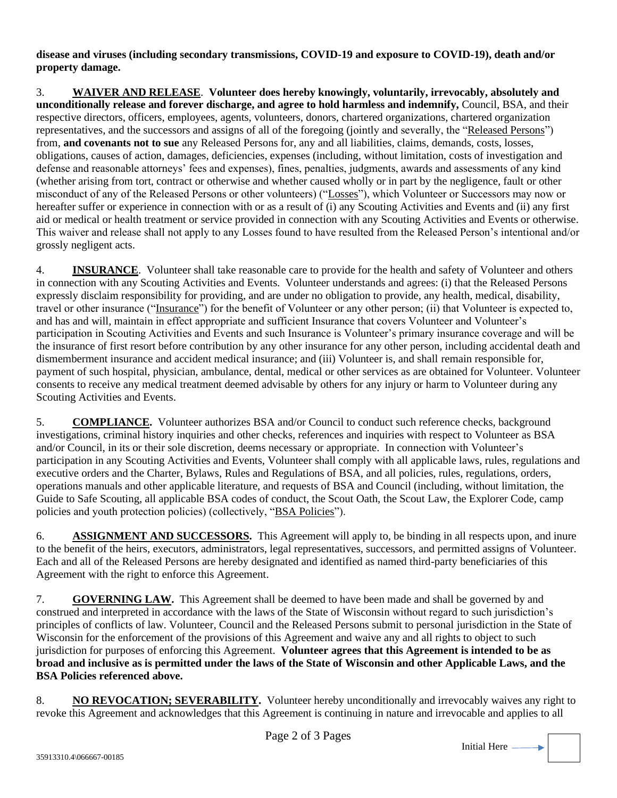**disease and viruses (including secondary transmissions, COVID-19 and exposure to COVID-19), death and/or property damage.**

3. **WAIVER AND RELEASE**. **Volunteer does hereby knowingly, voluntarily, irrevocably, absolutely and unconditionally release and forever discharge, and agree to hold harmless and indemnify,** Council, BSA, and their respective directors, officers, employees, agents, volunteers, donors, chartered organizations, chartered organization representatives, and the successors and assigns of all of the foregoing (jointly and severally, the "Released Persons") from, **and covenants not to sue** any Released Persons for, any and all liabilities, claims, demands, costs, losses, obligations, causes of action, damages, deficiencies, expenses (including, without limitation, costs of investigation and defense and reasonable attorneys' fees and expenses), fines, penalties, judgments, awards and assessments of any kind (whether arising from tort, contract or otherwise and whether caused wholly or in part by the negligence, fault or other misconduct of any of the Released Persons or other volunteers) ("Losses"), which Volunteer or Successors may now or hereafter suffer or experience in connection with or as a result of (i) any Scouting Activities and Events and (ii) any first aid or medical or health treatment or service provided in connection with any Scouting Activities and Events or otherwise. This waiver and release shall not apply to any Losses found to have resulted from the Released Person's intentional and/or grossly negligent acts.

4. **INSURANCE**. Volunteer shall take reasonable care to provide for the health and safety of Volunteer and others in connection with any Scouting Activities and Events. Volunteer understands and agrees: (i) that the Released Persons expressly disclaim responsibility for providing, and are under no obligation to provide, any health, medical, disability, travel or other insurance ("Insurance") for the benefit of Volunteer or any other person; (ii) that Volunteer is expected to, and has and will, maintain in effect appropriate and sufficient Insurance that covers Volunteer and Volunteer's participation in Scouting Activities and Events and such Insurance is Volunteer's primary insurance coverage and will be the insurance of first resort before contribution by any other insurance for any other person, including accidental death and dismemberment insurance and accident medical insurance; and (iii) Volunteer is, and shall remain responsible for, payment of such hospital, physician, ambulance, dental, medical or other services as are obtained for Volunteer. Volunteer consents to receive any medical treatment deemed advisable by others for any injury or harm to Volunteer during any Scouting Activities and Events.

5. **COMPLIANCE.** Volunteer authorizes BSA and/or Council to conduct such reference checks, background investigations, criminal history inquiries and other checks, references and inquiries with respect to Volunteer as BSA and/or Council, in its or their sole discretion, deems necessary or appropriate. In connection with Volunteer's participation in any Scouting Activities and Events, Volunteer shall comply with all applicable laws, rules, regulations and executive orders and the Charter, Bylaws, Rules and Regulations of BSA, and all policies, rules, regulations, orders, operations manuals and other applicable literature, and requests of BSA and Council (including, without limitation, the Guide to Safe Scouting, all applicable BSA codes of conduct, the Scout Oath, the Scout Law, the Explorer Code, camp policies and youth protection policies) (collectively, "BSA Policies").

6. **ASSIGNMENT AND SUCCESSORS.** This Agreement will apply to, be binding in all respects upon, and inure to the benefit of the heirs, executors, administrators, legal representatives, successors, and permitted assigns of Volunteer. Each and all of the Released Persons are hereby designated and identified as named third-party beneficiaries of this Agreement with the right to enforce this Agreement.

7. **GOVERNING LAW.** This Agreement shall be deemed to have been made and shall be governed by and construed and interpreted in accordance with the laws of the State of Wisconsin without regard to such jurisdiction's principles of conflicts of law. Volunteer, Council and the Released Persons submit to personal jurisdiction in the State of Wisconsin for the enforcement of the provisions of this Agreement and waive any and all rights to object to such jurisdiction for purposes of enforcing this Agreement. **Volunteer agrees that this Agreement is intended to be as broad and inclusive as is permitted under the laws of the State of Wisconsin and other Applicable Laws, and the BSA Policies referenced above.**

8. **NO REVOCATION; SEVERABILITY.** Volunteer hereby unconditionally and irrevocably waives any right to revoke this Agreement and acknowledges that this Agreement is continuing in nature and irrevocable and applies to all